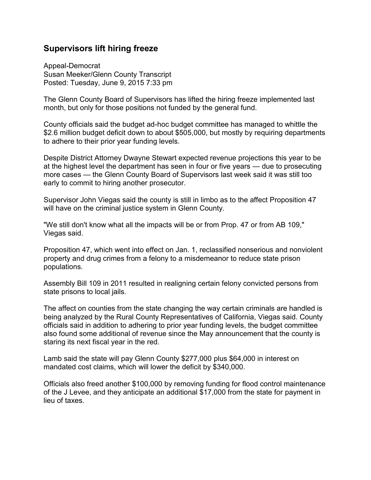## **Supervisors lift hiring freeze**

Appeal-Democrat Susan Meeker/Glenn County Transcript Posted: Tuesday, June 9, 2015 7:33 pm

The Glenn County Board of Supervisors has lifted the hiring freeze implemented last month, but only for those positions not funded by the general fund.

County officials said the budget ad-hoc budget committee has managed to whittle the \$2.6 million budget deficit down to about \$505,000, but mostly by requiring departments to adhere to their prior year funding levels.

Despite District Attorney Dwayne Stewart expected revenue projections this year to be at the highest level the department has seen in four or five years — due to prosecuting more cases — the Glenn County Board of Supervisors last week said it was still too early to commit to hiring another prosecutor.

Supervisor John Viegas said the county is still in limbo as to the affect Proposition 47 will have on the criminal justice system in Glenn County.

"We still don't know what all the impacts will be or from Prop. 47 or from AB 109," Viegas said.

Proposition 47, which went into effect on Jan. 1, reclassified nonserious and nonviolent property and drug crimes from a felony to a misdemeanor to reduce state prison populations.

Assembly Bill 109 in 2011 resulted in realigning certain felony convicted persons from state prisons to local jails.

The affect on counties from the state changing the way certain criminals are handled is being analyzed by the Rural County Representatives of California, Viegas said. County officials said in addition to adhering to prior year funding levels, the budget committee also found some additional of revenue since the May announcement that the county is staring its next fiscal year in the red.

Lamb said the state will pay Glenn County \$277,000 plus \$64,000 in interest on mandated cost claims, which will lower the deficit by \$340,000.

Officials also freed another \$100,000 by removing funding for flood control maintenance of the J Levee, and they anticipate an additional \$17,000 from the state for payment in lieu of taxes.